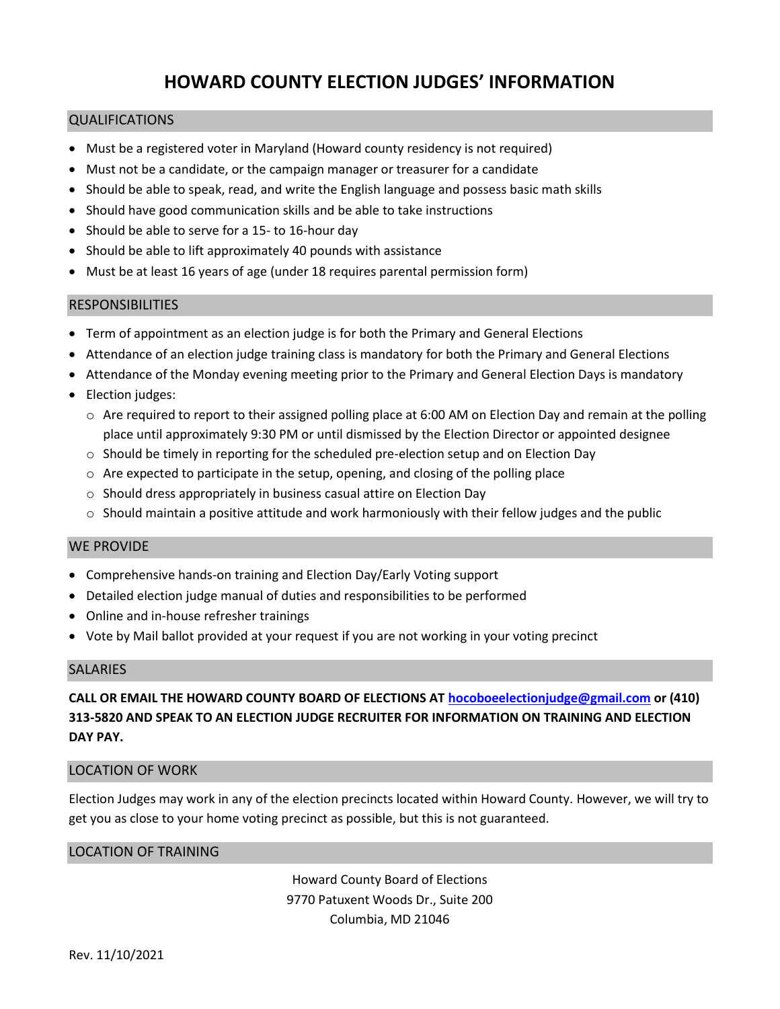# **HOWARD COUNTY ELECTION JUDGES' INFORMATION**

### QUALIFICATIONS

- Must be a registered voter in Maryland (Howard county residency is not required)
- Must not be a candidate, or the campaign manager or treasurer for a candidate
- Should be able to speak, read, and write the English language and possess basic math skills
- Should have good communication skills and be able to take instructions
- Should be able to serve for a 15- to 16-hour day
- Should be able to lift approximately 40 pounds with assistance
- Must be at least 16 years of age (under 18 requires parental permission form)

### RESPONSIBILITIES

- Term of appointment as an election judge is for both the Primary and General Elections
- Attendance of an election judge training class is mandatory for both the Primary and General Elections
- Attendance of the Monday evening meeting prior to the Primary and General Election Days is mandatory
- Election judges:
	- $\circ$  Are required to report to their assigned polling place at 6:00 AM on Election Day and remain at the polling place until approximately 9:30 PM or until dismissed by the Election Director or appointed designee
	- $\circ$  Should be timely in reporting for the scheduled pre-election setup and on Election Day
	- $\circ$  Are expected to participate in the setup, opening, and closing of the polling place
	- o Should dress appropriately in business casual attire on Election Day
	- $\circ$  Should maintain a positive attitude and work harmoniously with their fellow judges and the public

# WE PROVIDE

- Comprehensive hands-on training and Election Day/Early Voting support
- Detailed election judge manual of duties and responsibilities to be performed
- Online and in-house refresher trainings
- Vote by Mail ballot provided at your request if you are not working in your voting precinct

### **SALARIES**

**CALL OR EMAIL THE HOWARD COUNTY BOARD OF ELECTIONS AT [hocoboeelectionjudge@gmail.com](mailto:hocoboeelectionjudge@gmail.com) or (410) 313-5820 AND SPEAK TO AN ELECTION JUDGE RECRUITER FOR INFORMATION ON TRAINING AND ELECTION DAY PAY.**

### LOCATION OF WORK

Election Judges may work in any of the election precincts located within Howard County. However, we will try to get you as close to your home voting precinct as possible, but this is not guaranteed.

### LOCATION OF TRAINING

Howard County Board of Elections 9770 Patuxent Woods Dr., Suite 200 Columbia, MD 21046